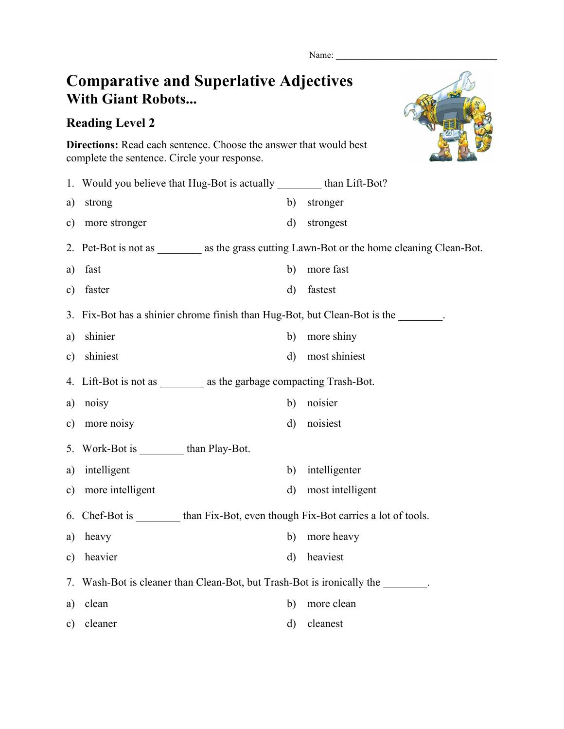Name:

## **Comparative and Superlative Adjectives With Giant Robots...**

## **Reading Level 2**



**Directions:** Read each sentence. Choose the answer that would best complete the sentence. Circle your response.

|               | 1. Would you believe that Hug-Bot is actually _________ than Lift-Bot?                        |              |                  |  |
|---------------|-----------------------------------------------------------------------------------------------|--------------|------------------|--|
| a)            | strong                                                                                        | b)           | stronger         |  |
| c)            | more stronger                                                                                 | $\mathbf{d}$ | strongest        |  |
|               | 2. Pet-Bot is not as __________ as the grass cutting Lawn-Bot or the home cleaning Clean-Bot. |              |                  |  |
| a)            | fast                                                                                          | b)           | more fast        |  |
| $\mathbf{c})$ | faster                                                                                        | $\mathbf{d}$ | fastest          |  |
|               | 3. Fix-Bot has a shinier chrome finish than Hug-Bot, but Clean-Bot is the                     |              |                  |  |
| a)            | shinier                                                                                       | b)           | more shiny       |  |
| c)            | shiniest                                                                                      | $\mathbf{d}$ | most shiniest    |  |
|               | 4. Lift-Bot is not as as the garbage compacting Trash-Bot.                                    |              |                  |  |
| a)            | noisy                                                                                         | b)           | noisier          |  |
| $\mathbf{c})$ | more noisy                                                                                    | $\rm d)$     | noisiest         |  |
|               | 5. Work-Bot is than Play-Bot.                                                                 |              |                  |  |
| a)            | intelligent                                                                                   | b)           | intelligenter    |  |
| $\mathbf{c})$ | more intelligent                                                                              | $\rm d)$     | most intelligent |  |
|               | 6. Chef-Bot is than Fix-Bot, even though Fix-Bot carries a lot of tools.                      |              |                  |  |
| a)            | heavy                                                                                         | b)           | more heavy       |  |
| $\mathbf{c})$ | heavier                                                                                       | $\rm d)$     | heaviest         |  |
|               | 7. Wash-Bot is cleaner than Clean-Bot, but Trash-Bot is ironically the                        |              |                  |  |
| a)            | clean                                                                                         | b)           | more clean       |  |
| c)            | cleaner                                                                                       | d)           | cleanest         |  |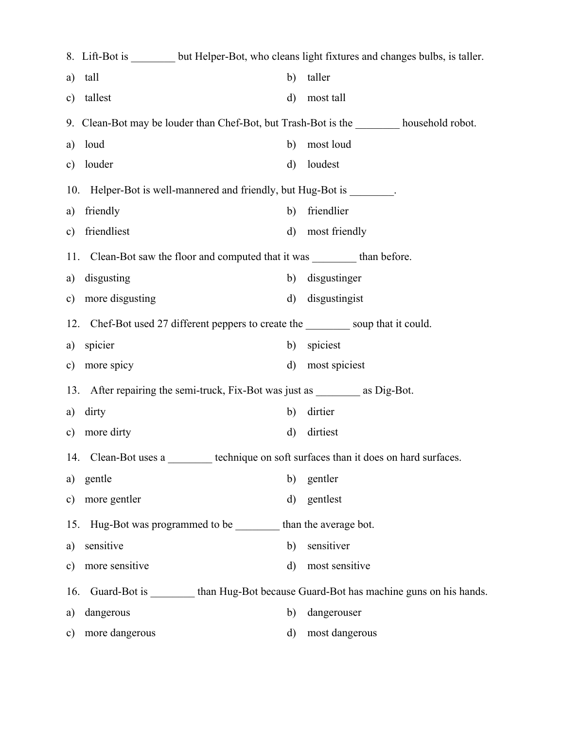|               | 8. Lift-Bot is _________ but Helper-Bot, who cleans light fixtures and changes bulbs, is taller. |              |                |  |  |
|---------------|--------------------------------------------------------------------------------------------------|--------------|----------------|--|--|
| a)            | tall                                                                                             | b)           | taller         |  |  |
| c)            | tallest                                                                                          | $\rm d$      | most tall      |  |  |
|               | 9. Clean-Bot may be louder than Chef-Bot, but Trash-Bot is the _________ household robot.        |              |                |  |  |
| a)            | loud                                                                                             | b)           | most loud      |  |  |
| c)            | louder                                                                                           | $\rm d$      | loudest        |  |  |
|               | 10. Helper-Bot is well-mannered and friendly, but Hug-Bot is _______.                            |              |                |  |  |
| a)            | friendly                                                                                         | b)           | friendlier     |  |  |
| $\mathbf{c})$ | friendliest                                                                                      | $\mathbf{d}$ | most friendly  |  |  |
|               | 11. Clean-Bot saw the floor and computed that it was _________ than before.                      |              |                |  |  |
| a)            | disgusting                                                                                       | b)           | disgustinger   |  |  |
|               | c) more disgusting                                                                               | $\mathbf{d}$ | disgustingist  |  |  |
|               | 12. Chef-Bot used 27 different peppers to create the same soup that it could.                    |              |                |  |  |
| a)            | spicier                                                                                          | b)           | spiciest       |  |  |
| c)            | more spicy                                                                                       | $\mathbf{d}$ | most spiciest  |  |  |
|               | 13. After repairing the semi-truck, Fix-Bot was just as __________ as Dig-Bot.                   |              |                |  |  |
| a)            | dirty                                                                                            | b)           | dirtier        |  |  |
| c)            | more dirty                                                                                       | d)           | dirtiest       |  |  |
|               | technique on soft surfaces than it does on hard surfaces.<br>14. Clean-Bot uses a                |              |                |  |  |
| a)            | gentle                                                                                           | b)           | gentler        |  |  |
| $\mathbf{c})$ | more gentler                                                                                     | $\mathbf{d}$ | gentlest       |  |  |
| 15.           | Hug-Bot was programmed to be ________ than the average bot.                                      |              |                |  |  |
| a)            | sensitive                                                                                        | b)           | sensitiver     |  |  |
| $\mathbf{c})$ | more sensitive                                                                                   | $\mathbf{d}$ | most sensitive |  |  |
| 16.           | Guard-Bot is _________ than Hug-Bot because Guard-Bot has machine guns on his hands.             |              |                |  |  |
| a)            | dangerous                                                                                        | b)           | dangerouser    |  |  |
| c)            | more dangerous                                                                                   | $\rm d)$     | most dangerous |  |  |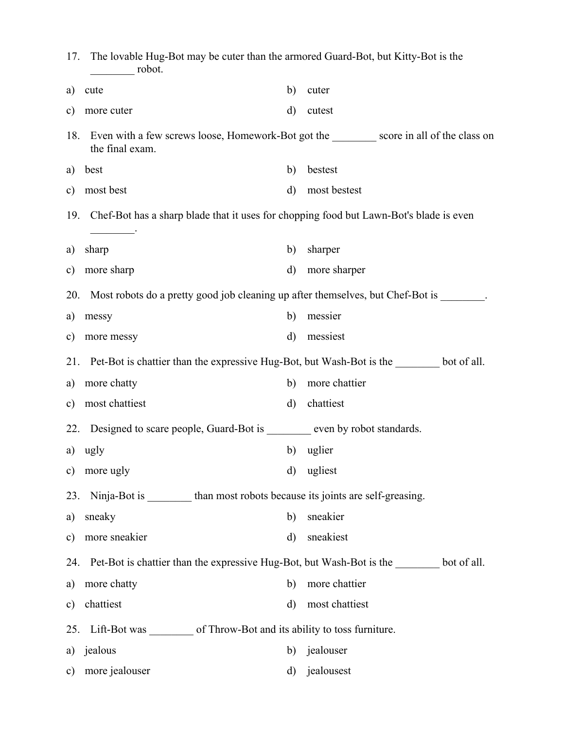| 17.           | The lovable Hug-Bot may be cuter than the armored Guard-Bot, but Kitty-Bot is the<br>robot.                   |              |                |  |  |
|---------------|---------------------------------------------------------------------------------------------------------------|--------------|----------------|--|--|
| a)            | cute                                                                                                          | $\mathbf{b}$ | cuter          |  |  |
| $\mathbf{c})$ | more cuter                                                                                                    | $\mathbf{d}$ | cutest         |  |  |
| 18.           | Even with a few screws loose, Homework-Bot got the __________ score in all of the class on<br>the final exam. |              |                |  |  |
| a)            | best                                                                                                          | b)           | bestest        |  |  |
| $\mathbf{c})$ | most best                                                                                                     | $\rm d)$     | most bestest   |  |  |
| 19.           | Chef-Bot has a sharp blade that it uses for chopping food but Lawn-Bot's blade is even                        |              |                |  |  |
| a)            | sharp                                                                                                         | b)           | sharper        |  |  |
| $\mathbf{c})$ | more sharp                                                                                                    | $\rm d)$     | more sharper   |  |  |
| 20.           | Most robots do a pretty good job cleaning up after themselves, but Chef-Bot is _______.                       |              |                |  |  |
| a)            | messy                                                                                                         | b)           | messier        |  |  |
| $\mathbf{c})$ | more messy                                                                                                    | $\mathbf{d}$ | messiest       |  |  |
| 21.           | Pet-Bot is chattier than the expressive Hug-Bot, but Wash-Bot is the settled bot of all.                      |              |                |  |  |
| a)            | more chatty                                                                                                   | b)           | more chattier  |  |  |
| $\mathbf{c})$ | most chattiest                                                                                                | $\rm d)$     | chattiest      |  |  |
| 22.           | Designed to scare people, Guard-Bot is _______ even by robot standards.                                       |              |                |  |  |
|               | a) ugly                                                                                                       | b)           | uglier         |  |  |
| $\mathbf{c})$ | more ugly                                                                                                     | $\mathbf{d}$ | ugliest        |  |  |
| 23.           | Ninja-Bot is __________ than most robots because its joints are self-greasing.                                |              |                |  |  |
| a)            | sneaky                                                                                                        | b)           | sneakier       |  |  |
| $\mathbf{c})$ | more sneakier                                                                                                 | $\rm d)$     | sneakiest      |  |  |
|               | 24. Pet-Bot is chattier than the expressive Hug-Bot, but Wash-Bot is the _______ bot of all.                  |              |                |  |  |
| a)            | more chatty                                                                                                   | b)           | more chattier  |  |  |
| $\mathbf{c})$ | chattiest                                                                                                     | $\rm d)$     | most chattiest |  |  |
|               | 25. Lift-Bot was ___________ of Throw-Bot and its ability to toss furniture.                                  |              |                |  |  |
| a)            | jealous                                                                                                       | b)           | jealouser      |  |  |
| $\mathbf{c})$ | more jealouser                                                                                                | d)           | jealousest     |  |  |